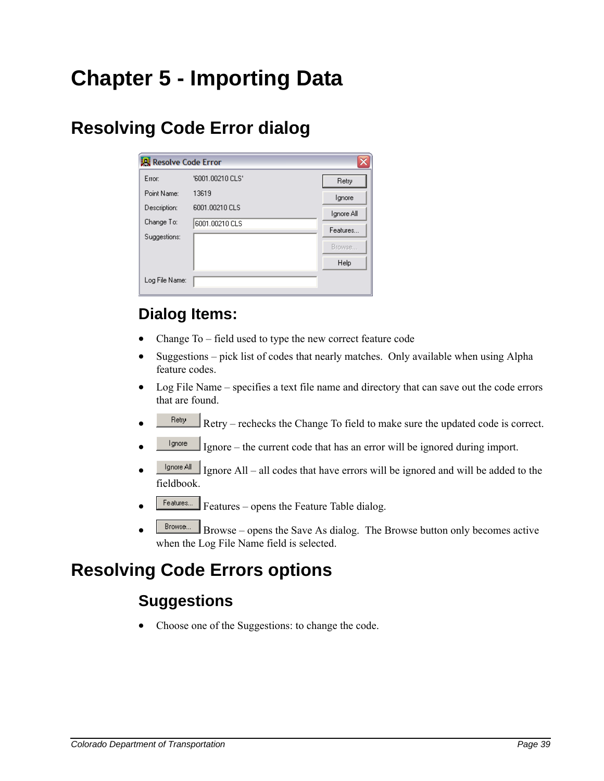# **Chapter 5 - Importing Data**

## **Resolving Code Error dialog**

| <b>课</b> Resolve Code Error |                  | ×          |
|-----------------------------|------------------|------------|
| Error:                      | '6001.00210 CLS' | Retry      |
| Point Name:                 | 13619            | Ignore     |
| Description:                | 6001.00210 CLS   | Ignore All |
| Change To:                  | 6001.00210 CLS   | Features   |
| Suggestions:                |                  | Browse     |
|                             |                  |            |
|                             |                  | Help       |
| Log File Name:              |                  |            |
|                             |                  |            |

## **Dialog Items:**

- Change To field used to type the new correct feature code
- Suggestions pick list of codes that nearly matches. Only available when using Alpha feature codes.
- Log File Name specifies a text file name and directory that can save out the code errors that are found.
- $R_{\text{text}}$  Retry rechecks the Change To field to make sure the updated code is correct.
- $\frac{I_{\text{gence}}}{I_{\text{gmore}}}$  Ignore the current code that has an error will be ignored during import.
- $\frac{I_{\text{gence All}}}{I_{\text{gmore}}}\$  Ignore All all codes that have errors will be ignored and will be added to the fieldbook.
- Features... Features opens the Feature Table dialog.
- $B$ rowse... Browse opens the Save As dialog. The Browse button only becomes active when the Log File Name field is selected.

## **Resolving Code Errors options**

## **Suggestions**

• Choose one of the Suggestions: to change the code.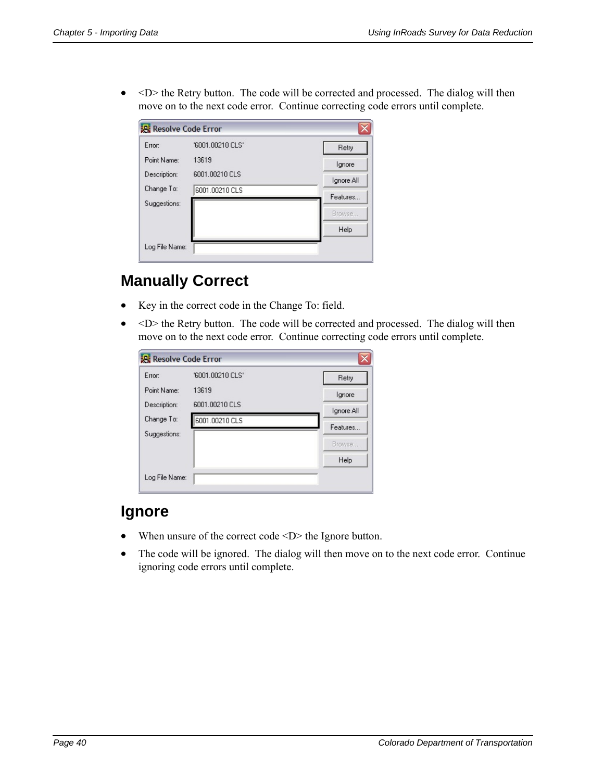•  $\leq D$  the Retry button. The code will be corrected and processed. The dialog will then move on to the next code error. Continue correcting code errors until complete.

| Error:       | '6001.00210 CLS' | Retry      |
|--------------|------------------|------------|
| Point Name:  | 13619            | Ignore     |
| Description: | 6001.00210 CLS   | Ignore All |
| Change To:   | 6001.00210 CLS   | Features   |
| Suggestions: |                  |            |
|              |                  | Browse     |
|              |                  | Help       |

### **Manually Correct**

- Key in the correct code in the Change To: field.
- $\leq D$  the Retry button. The code will be corrected and processed. The dialog will then move on to the next code error. Continue correcting code errors until complete.

| <b>R</b> Resolve Code Error |                  | ×          |
|-----------------------------|------------------|------------|
| Error:                      | '6001.00210 CLS' | Retry      |
| Point Name:                 | 13619            | Ignore     |
| Description:                | 6001.00210 CLS   | Ignore All |
| Change To:                  | 6001.00210 CLS   | Features   |
| Suggestions:                |                  |            |
|                             |                  | Browse     |
|                             |                  | Help       |
| Log File Name:              |                  |            |

#### **Ignore**

- When unsure of the correct code <D> the Ignore button.
- The code will be ignored. The dialog will then move on to the next code error. Continue ignoring code errors until complete.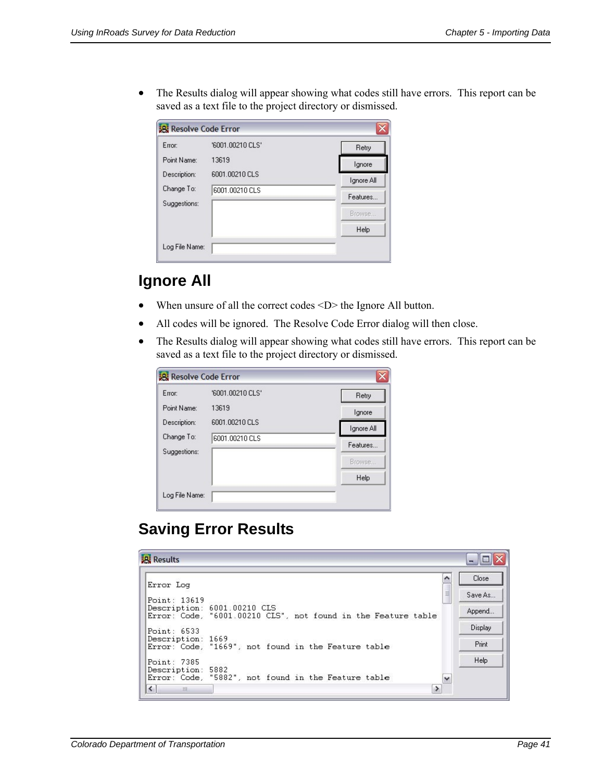• The Results dialog will appear showing what codes still have errors. This report can be saved as a text file to the project directory or dismissed.

| Error:       | '6001.00210 CLS' | Retry      |
|--------------|------------------|------------|
| Point Name:  | 13619            | Ignore     |
| Description: | 6001.00210 CLS   | Ignore All |
| Change To:   | 6001.00210 CLS   | Features   |
| Suggestions: |                  | Browse     |
|              |                  | Help       |

## **Ignore All**

- When unsure of all the correct codes <D> the Ignore All button.
- All codes will be ignored. The Resolve Code Error dialog will then close.
- The Results dialog will appear showing what codes still have errors. This report can be saved as a text file to the project directory or dismissed.

| <b>R</b> Resolve Code Error |                  | ×          |
|-----------------------------|------------------|------------|
| Error:                      | '6001.00210 CLS' | Retry      |
| Point Name:                 | 13619            | Ignore     |
| Description:                | 6001.00210 CLS   | Ignore All |
| Change To:                  | 6001.00210 CLS   | Features   |
| Suggestions:                |                  | Browse     |
|                             |                  | Help       |
| Log File Name:              |                  |            |

## **Saving Error Results**

| <b>Results</b>                                                                                               |               |                   |
|--------------------------------------------------------------------------------------------------------------|---------------|-------------------|
| Error Log                                                                                                    |               | Close             |
| Point: 13619<br>Description: 6001.00210 CLS<br>Error: Code, "6001.00210 CLS", not found in the Feature table | 亖             | Save As<br>Append |
| Point: 6533<br>Description: 1669<br>Error: Code, "1669", not found in the Feature table                      |               | Display<br>Print  |
| Point: 7385<br>Description: 5882<br>Error: Code, "5882", not found in the Feature table                      | $\checkmark$  | Help              |
| $\leq$<br><b>IIII</b>                                                                                        | $\rightarrow$ |                   |